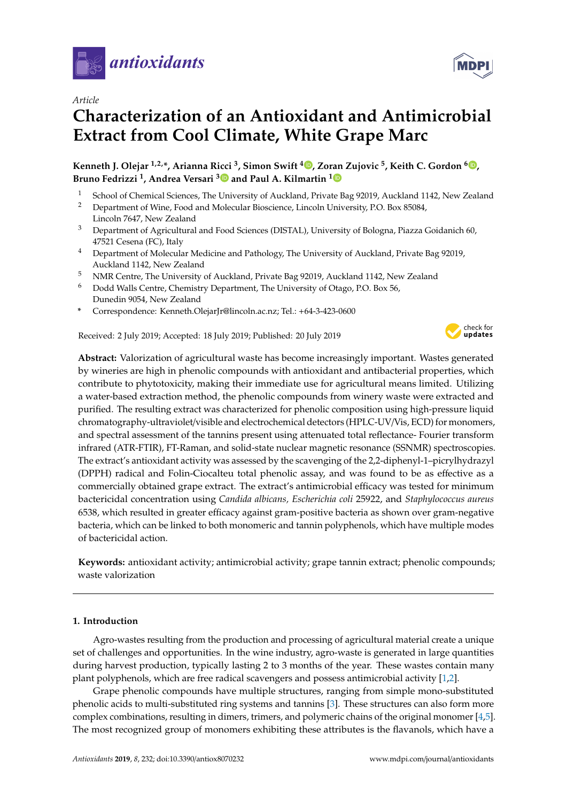

*Article*

# **Characterization of an Antioxidant and Antimicrobial Extract from Cool Climate, White Grape Marc**

**Kenneth J. Olejar 1,2,\*, Arianna Ricci <sup>3</sup> , Simon Swift <sup>4</sup> [,](https://orcid.org/0000-0001-7352-1112) Zoran Zujovic <sup>5</sup> , Keith C. Gordon <sup>6</sup> [,](https://orcid.org/0000-0003-2833-6166) Bruno Fedrizzi <sup>1</sup> , Andrea Versari [3](https://orcid.org/0000-0003-2960-0619) and Paul A. Kilmartin [1](https://orcid.org/0000-0003-2623-0958)**

- <sup>1</sup> School of Chemical Sciences, The University of Auckland, Private Bag 92019, Auckland 1142, New Zealand <sup>2</sup> Department of Wine, Ecod and Molecular Biogeiance, Lincoln University, P.O. Boy 95084
- <sup>2</sup> Department of Wine, Food and Molecular Bioscience, Lincoln University, P.O. Box 85084, Lincoln 7647, New Zealand
- <sup>3</sup> Department of Agricultural and Food Sciences (DISTAL), University of Bologna, Piazza Goidanich 60, 47521 Cesena (FC), Italy
- <sup>4</sup> Department of Molecular Medicine and Pathology, The University of Auckland, Private Bag 92019, Auckland 1142, New Zealand
- <sup>5</sup> NMR Centre, The University of Auckland, Private Bag 92019, Auckland 1142, New Zealand
- <sup>6</sup> Dodd Walls Centre, Chemistry Department, The University of Otago, P.O. Box 56, Dunedin 9054, New Zealand
- **\*** Correspondence: Kenneth.OlejarJr@lincoln.ac.nz; Tel.: +64-3-423-0600

Received: 2 July 2019; Accepted: 18 July 2019; Published: 20 July 2019



**Abstract:** Valorization of agricultural waste has become increasingly important. Wastes generated by wineries are high in phenolic compounds with antioxidant and antibacterial properties, which contribute to phytotoxicity, making their immediate use for agricultural means limited. Utilizing a water-based extraction method, the phenolic compounds from winery waste were extracted and purified. The resulting extract was characterized for phenolic composition using high-pressure liquid chromatography-ultraviolet/visible and electrochemical detectors (HPLC-UV/Vis, ECD) for monomers, and spectral assessment of the tannins present using attenuated total reflectance- Fourier transform infrared (ATR-FTIR), FT-Raman, and solid-state nuclear magnetic resonance (SSNMR) spectroscopies. The extract's antioxidant activity was assessed by the scavenging of the 2,2-diphenyl-1–picrylhydrazyl (DPPH) radical and Folin-Ciocalteu total phenolic assay, and was found to be as effective as a commercially obtained grape extract. The extract's antimicrobial efficacy was tested for minimum bactericidal concentration using *Candida albicans, Escherichia coli* 25922, and *Staphylococcus aureus* 6538, which resulted in greater efficacy against gram-positive bacteria as shown over gram-negative bacteria, which can be linked to both monomeric and tannin polyphenols, which have multiple modes of bactericidal action.

**Keywords:** antioxidant activity; antimicrobial activity; grape tannin extract; phenolic compounds; waste valorization

# **1. Introduction**

Agro-wastes resulting from the production and processing of agricultural material create a unique set of challenges and opportunities. In the wine industry, agro-waste is generated in large quantities during harvest production, typically lasting 2 to 3 months of the year. These wastes contain many plant polyphenols, which are free radical scavengers and possess antimicrobial activity [\[1](#page-10-0)[,2\]](#page-10-1).

Grape phenolic compounds have multiple structures, ranging from simple mono-substituted phenolic acids to multi-substituted ring systems and tannins [\[3\]](#page-10-2). These structures can also form more complex combinations, resulting in dimers, trimers, and polymeric chains of the original monomer [\[4](#page-10-3)[,5\]](#page-10-4). The most recognized group of monomers exhibiting these attributes is the flavanols, which have a

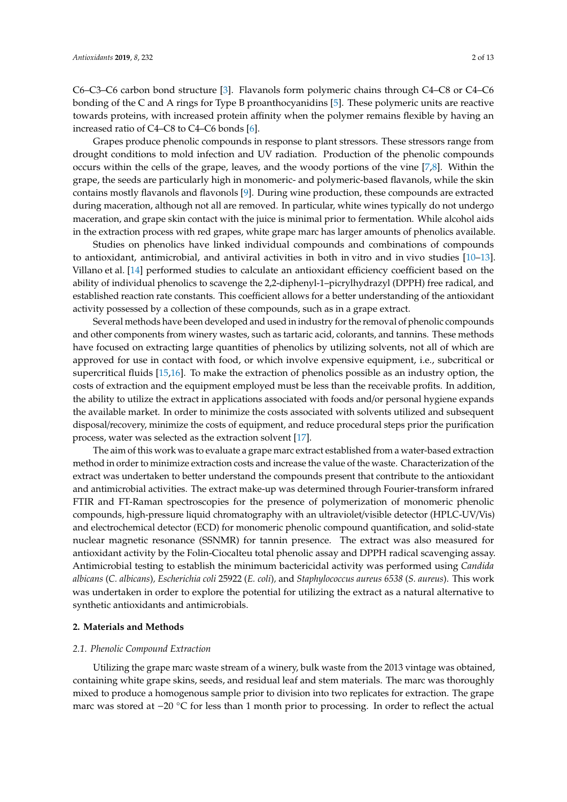C6–C3–C6 carbon bond structure [\[3\]](#page-10-2). Flavanols form polymeric chains through C4–C8 or C4–C6 bonding of the C and A rings for Type B proanthocyanidins [\[5\]](#page-10-4). These polymeric units are reactive towards proteins, with increased protein affinity when the polymer remains flexible by having an increased ratio of C4–C8 to C4–C6 bonds [\[6\]](#page-10-5).

Grapes produce phenolic compounds in response to plant stressors. These stressors range from drought conditions to mold infection and UV radiation. Production of the phenolic compounds occurs within the cells of the grape, leaves, and the woody portions of the vine [\[7](#page-10-6)[,8\]](#page-10-7). Within the grape, the seeds are particularly high in monomeric- and polymeric-based flavanols, while the skin contains mostly flavanols and flavonols [\[9\]](#page-10-8). During wine production, these compounds are extracted during maceration, although not all are removed. In particular, white wines typically do not undergo maceration, and grape skin contact with the juice is minimal prior to fermentation. While alcohol aids in the extraction process with red grapes, white grape marc has larger amounts of phenolics available.

Studies on phenolics have linked individual compounds and combinations of compounds to antioxidant, antimicrobial, and antiviral activities in both in vitro and in vivo studies [\[10–](#page-10-9)[13\]](#page-10-10). Villano et al. [\[14\]](#page-10-11) performed studies to calculate an antioxidant efficiency coefficient based on the ability of individual phenolics to scavenge the 2,2-diphenyl-1–picrylhydrazyl (DPPH) free radical, and established reaction rate constants. This coefficient allows for a better understanding of the antioxidant activity possessed by a collection of these compounds, such as in a grape extract.

Several methods have been developed and used in industry for the removal of phenolic compounds and other components from winery wastes, such as tartaric acid, colorants, and tannins. These methods have focused on extracting large quantities of phenolics by utilizing solvents, not all of which are approved for use in contact with food, or which involve expensive equipment, i.e., subcritical or supercritical fluids [\[15](#page-10-12)[,16\]](#page-10-13). To make the extraction of phenolics possible as an industry option, the costs of extraction and the equipment employed must be less than the receivable profits. In addition, the ability to utilize the extract in applications associated with foods and/or personal hygiene expands the available market. In order to minimize the costs associated with solvents utilized and subsequent disposal/recovery, minimize the costs of equipment, and reduce procedural steps prior the purification process, water was selected as the extraction solvent [\[17\]](#page-10-14).

The aim of this work was to evaluate a grape marc extract established from a water-based extraction method in order to minimize extraction costs and increase the value of the waste. Characterization of the extract was undertaken to better understand the compounds present that contribute to the antioxidant and antimicrobial activities. The extract make-up was determined through Fourier-transform infrared FTIR and FT-Raman spectroscopies for the presence of polymerization of monomeric phenolic compounds, high-pressure liquid chromatography with an ultraviolet/visible detector (HPLC-UV/Vis) and electrochemical detector (ECD) for monomeric phenolic compound quantification, and solid-state nuclear magnetic resonance (SSNMR) for tannin presence. The extract was also measured for antioxidant activity by the Folin-Ciocalteu total phenolic assay and DPPH radical scavenging assay. Antimicrobial testing to establish the minimum bactericidal activity was performed using *Candida albicans* (*C. albicans*)*, Escherichia coli* 25922 (*E. coli*)*,* and *Staphylococcus aureus 6538* (*S. aureus*). This work was undertaken in order to explore the potential for utilizing the extract as a natural alternative to synthetic antioxidants and antimicrobials.

#### **2. Materials and Methods**

#### *2.1. Phenolic Compound Extraction*

Utilizing the grape marc waste stream of a winery, bulk waste from the 2013 vintage was obtained, containing white grape skins, seeds, and residual leaf and stem materials. The marc was thoroughly mixed to produce a homogenous sample prior to division into two replicates for extraction. The grape marc was stored at −20 °C for less than 1 month prior to processing. In order to reflect the actual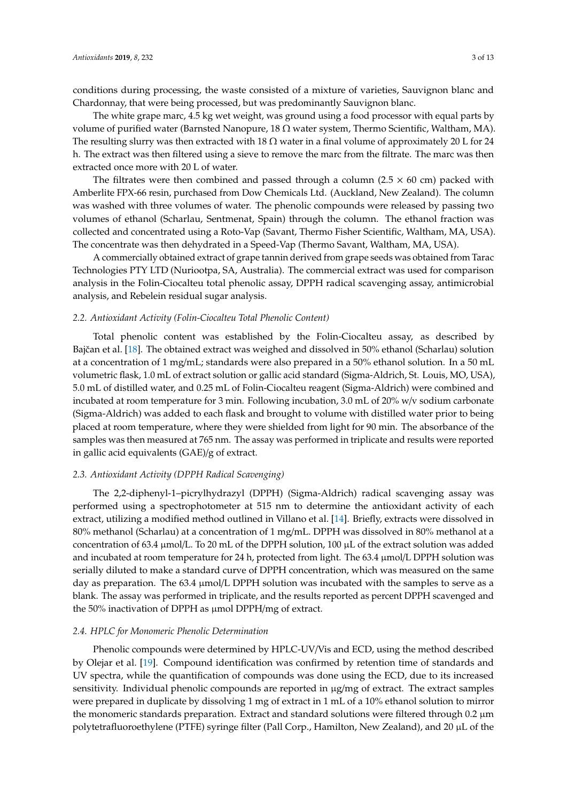conditions during processing, the waste consisted of a mixture of varieties, Sauvignon blanc and Chardonnay, that were being processed, but was predominantly Sauvignon blanc.

The white grape marc, 4.5 kg wet weight, was ground using a food processor with equal parts by volume of purified water (Barnsted Nanopure, 18 Ω water system, Thermo Scientific, Waltham, MA). The resulting slurry was then extracted with 18  $\Omega$  water in a final volume of approximately 20 L for 24 h. The extract was then filtered using a sieve to remove the marc from the filtrate. The marc was then extracted once more with 20 L of water.

The filtrates were then combined and passed through a column (2.5  $\times$  60 cm) packed with Amberlite FPX-66 resin, purchased from Dow Chemicals Ltd. (Auckland, New Zealand). The column was washed with three volumes of water. The phenolic compounds were released by passing two volumes of ethanol (Scharlau, Sentmenat, Spain) through the column. The ethanol fraction was collected and concentrated using a Roto-Vap (Savant, Thermo Fisher Scientific, Waltham, MA, USA). The concentrate was then dehydrated in a Speed-Vap (Thermo Savant, Waltham, MA, USA).

A commercially obtained extract of grape tannin derived from grape seeds was obtained from Tarac Technologies PTY LTD (Nuriootpa, SA, Australia). The commercial extract was used for comparison analysis in the Folin-Ciocalteu total phenolic assay, DPPH radical scavenging assay, antimicrobial analysis, and Rebelein residual sugar analysis.

# *2.2. Antioxidant Activity (Folin-Ciocalteu Total Phenolic Content)*

Total phenolic content was established by the Folin-Ciocalteu assay, as described by Bajčan et al. [\[18\]](#page-10-15). The obtained extract was weighed and dissolved in 50% ethanol (Scharlau) solution at a concentration of 1 mg/mL; standards were also prepared in a 50% ethanol solution. In a 50 mL volumetric flask, 1.0 mL of extract solution or gallic acid standard (Sigma-Aldrich, St. Louis, MO, USA), 5.0 mL of distilled water, and 0.25 mL of Folin-Ciocalteu reagent (Sigma-Aldrich) were combined and incubated at room temperature for 3 min. Following incubation, 3.0 mL of 20% w/v sodium carbonate (Sigma-Aldrich) was added to each flask and brought to volume with distilled water prior to being placed at room temperature, where they were shielded from light for 90 min. The absorbance of the samples was then measured at 765 nm. The assay was performed in triplicate and results were reported in gallic acid equivalents (GAE)/g of extract.

# *2.3. Antioxidant Activity (DPPH Radical Scavenging)*

The 2,2-diphenyl-1–picrylhydrazyl (DPPH) (Sigma-Aldrich) radical scavenging assay was performed using a spectrophotometer at 515 nm to determine the antioxidant activity of each extract, utilizing a modified method outlined in Villano et al. [\[14\]](#page-10-11). Briefly, extracts were dissolved in 80% methanol (Scharlau) at a concentration of 1 mg/mL. DPPH was dissolved in 80% methanol at a concentration of 63.4 µmol/L. To 20 mL of the DPPH solution, 100 µL of the extract solution was added and incubated at room temperature for 24 h, protected from light. The 63.4 µmol/L DPPH solution was serially diluted to make a standard curve of DPPH concentration, which was measured on the same day as preparation. The  $63.4 \mu$ mol/L DPPH solution was incubated with the samples to serve as a blank. The assay was performed in triplicate, and the results reported as percent DPPH scavenged and the 50% inactivation of DPPH as µmol DPPH/mg of extract.

# *2.4. HPLC for Monomeric Phenolic Determination*

Phenolic compounds were determined by HPLC-UV/Vis and ECD, using the method described by Olejar et al. [\[19\]](#page-10-16). Compound identification was confirmed by retention time of standards and UV spectra, while the quantification of compounds was done using the ECD, due to its increased sensitivity. Individual phenolic compounds are reported in µg/mg of extract. The extract samples were prepared in duplicate by dissolving 1 mg of extract in 1 mL of a 10% ethanol solution to mirror the monomeric standards preparation. Extract and standard solutions were filtered through 0.2 µm polytetrafluoroethylene (PTFE) syringe filter (Pall Corp., Hamilton, New Zealand), and 20 µL of the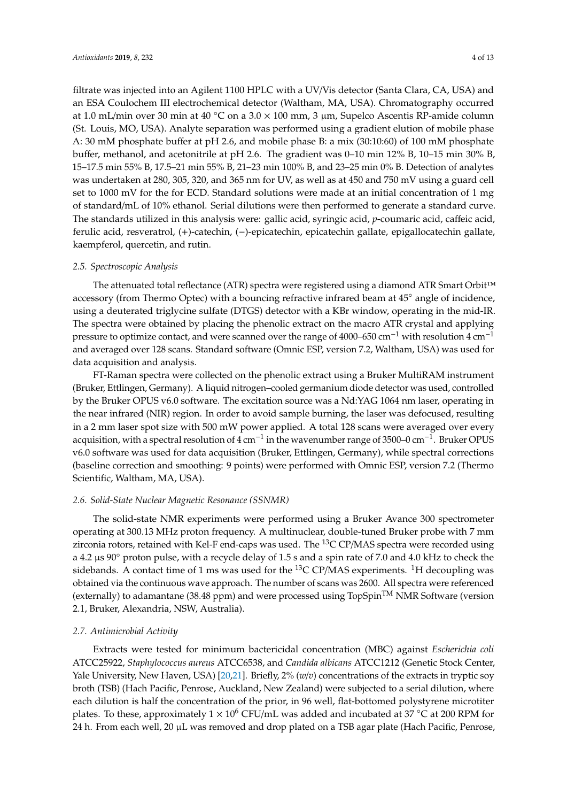filtrate was injected into an Agilent 1100 HPLC with a UV/Vis detector (Santa Clara, CA, USA) and an ESA Coulochem III electrochemical detector (Waltham, MA, USA). Chromatography occurred at 1.0 mL/min over 30 min at 40 °C on a  $3.0 \times 100$  mm, 3  $\mu$ m, Supelco Ascentis RP-amide column (St. Louis, MO, USA). Analyte separation was performed using a gradient elution of mobile phase A: 30 mM phosphate buffer at pH 2.6, and mobile phase B: a mix (30:10:60) of 100 mM phosphate buffer, methanol, and acetonitrile at pH 2.6. The gradient was 0–10 min 12% B, 10–15 min 30% B, 15–17.5 min 55% B, 17.5–21 min 55% B, 21–23 min 100% B, and 23–25 min 0% B. Detection of analytes was undertaken at 280, 305, 320, and 365 nm for UV, as well as at 450 and 750 mV using a guard cell set to 1000 mV for the for ECD. Standard solutions were made at an initial concentration of 1 mg of standard/mL of 10% ethanol. Serial dilutions were then performed to generate a standard curve. The standards utilized in this analysis were: gallic acid, syringic acid, *p*-coumaric acid, caffeic acid, ferulic acid, resveratrol, (+)-catechin, (−)-epicatechin, epicatechin gallate, epigallocatechin gallate, kaempferol, quercetin, and rutin.

#### *2.5. Spectroscopic Analysis*

The attenuated total reflectance (ATR) spectra were registered using a diamond ATR Smart Orbit™ accessory (from Thermo Optec) with a bouncing refractive infrared beam at 45◦ angle of incidence, using a deuterated triglycine sulfate (DTGS) detector with a KBr window, operating in the mid-IR. The spectra were obtained by placing the phenolic extract on the macro ATR crystal and applying pressure to optimize contact, and were scanned over the range of 4000–650 cm<sup>-1</sup> with resolution 4 cm<sup>-1</sup> and averaged over 128 scans. Standard software (Omnic ESP, version 7.2, Waltham, USA) was used for data acquisition and analysis.

FT-Raman spectra were collected on the phenolic extract using a Bruker MultiRAM instrument (Bruker, Ettlingen, Germany). A liquid nitrogen–cooled germanium diode detector was used, controlled by the Bruker OPUS v6.0 software. The excitation source was a Nd:YAG 1064 nm laser, operating in the near infrared (NIR) region. In order to avoid sample burning, the laser was defocused, resulting in a 2 mm laser spot size with 500 mW power applied. A total 128 scans were averaged over every acquisition, with a spectral resolution of 4 cm<sup>-1</sup> in the wavenumber range of 3500–0 cm<sup>-1</sup>. Bruker OPUS v6.0 software was used for data acquisition (Bruker, Ettlingen, Germany), while spectral corrections (baseline correction and smoothing: 9 points) were performed with Omnic ESP, version 7.2 (Thermo Scientific, Waltham, MA, USA).

#### *2.6. Solid-State Nuclear Magnetic Resonance (SSNMR)*

The solid-state NMR experiments were performed using a Bruker Avance 300 spectrometer operating at 300.13 MHz proton frequency. A multinuclear, double-tuned Bruker probe with 7 mm zirconia rotors, retained with Kel-F end-caps was used. The  ${}^{13}$ C CP/MAS spectra were recorded using a 4.2 µs 90◦ proton pulse, with a recycle delay of 1.5 s and a spin rate of 7.0 and 4.0 kHz to check the sidebands. A contact time of 1 ms was used for the  ${}^{13}$ C CP/MAS experiments. <sup>1</sup>H decoupling was obtained via the continuous wave approach. The number of scans was 2600. All spectra were referenced (externally) to adamantane (38.48 ppm) and were processed using TopSpinTM NMR Software (version 2.1, Bruker, Alexandria, NSW, Australia).

#### *2.7. Antimicrobial Activity*

Extracts were tested for minimum bactericidal concentration (MBC) against *Escherichia coli* ATCC25922, *Staphylococcus aureus* ATCC6538, and *Candida albicans* ATCC1212 (Genetic Stock Center, Yale University, New Haven, USA) [\[20](#page-10-17)[,21\]](#page-10-18). Briefly, 2% (*w*/*v*) concentrations of the extracts in tryptic soy broth (TSB) (Hach Pacific, Penrose, Auckland, New Zealand) were subjected to a serial dilution, where each dilution is half the concentration of the prior, in 96 well, flat-bottomed polystyrene microtiter plates. To these, approximately  $1 \times 10^6$  CFU/mL was added and incubated at 37 °C at 200 RPM for 24 h. From each well, 20 µL was removed and drop plated on a TSB agar plate (Hach Pacific, Penrose,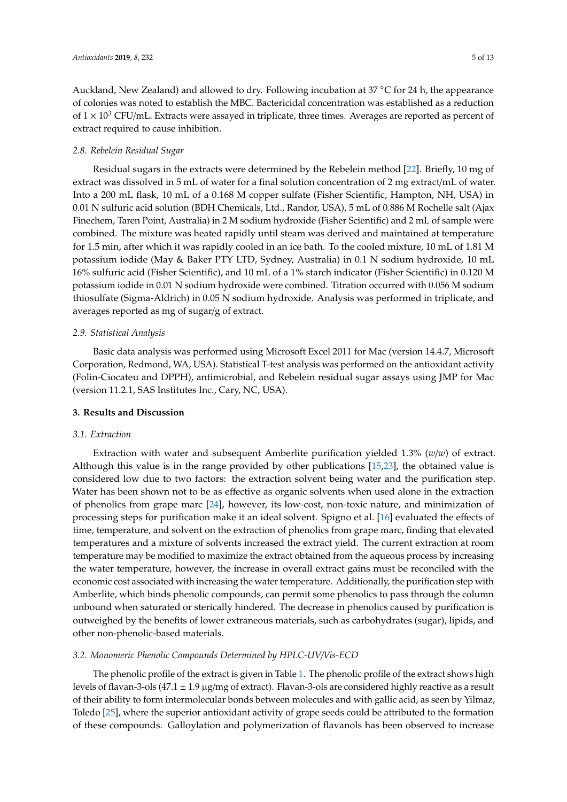Auckland, New Zealand) and allowed to dry. Following incubation at 37 ◦C for 24 h, the appearance of colonies was noted to establish the MBC. Bactericidal concentration was established as a reduction of  $1 \times 10^3$  CFU/mL. Extracts were assayed in triplicate, three times. Averages are reported as percent of extract required to cause inhibition.

# *2.8. Rebelein Residual Sugar*

Residual sugars in the extracts were determined by the Rebelein method [\[22\]](#page-10-19). Briefly, 10 mg of extract was dissolved in 5 mL of water for a final solution concentration of 2 mg extract/mL of water. Into a 200 mL flask, 10 mL of a 0.168 M copper sulfate (Fisher Scientific, Hampton, NH, USA) in 0.01 N sulfuric acid solution (BDH Chemicals, Ltd., Randor, USA), 5 mL of 0.886 M Rochelle salt (Ajax Finechem, Taren Point, Australia) in 2 M sodium hydroxide (Fisher Scientific) and 2 mL of sample were combined. The mixture was heated rapidly until steam was derived and maintained at temperature for 1.5 min, after which it was rapidly cooled in an ice bath. To the cooled mixture, 10 mL of 1.81 M potassium iodide (May & Baker PTY LTD, Sydney, Australia) in 0.1 N sodium hydroxide, 10 mL 16% sulfuric acid (Fisher Scientific), and 10 mL of a 1% starch indicator (Fisher Scientific) in 0.120 M potassium iodide in 0.01 N sodium hydroxide were combined. Titration occurred with 0.056 M sodium thiosulfate (Sigma-Aldrich) in 0.05 N sodium hydroxide. Analysis was performed in triplicate, and averages reported as mg of sugar/g of extract.

# *2.9. Statistical Analysis*

Basic data analysis was performed using Microsoft Excel 2011 for Mac (version 14.4.7, Microsoft Corporation, Redmond, WA, USA). Statistical T-test analysis was performed on the antioxidant activity (Folin-Ciocateu and DPPH), antimicrobial, and Rebelein residual sugar assays using JMP for Mac (version 11.2.1, SAS Institutes Inc., Cary, NC, USA).

# **3. Results and Discussion**

# *3.1. Extraction*

Extraction with water and subsequent Amberlite purification yielded 1.3% (*w*/*w*) of extract. Although this value is in the range provided by other publications [\[15](#page-10-12)[,23\]](#page-11-0), the obtained value is considered low due to two factors: the extraction solvent being water and the purification step. Water has been shown not to be as effective as organic solvents when used alone in the extraction of phenolics from grape marc [\[24\]](#page-11-1), however, its low-cost, non-toxic nature, and minimization of processing steps for purification make it an ideal solvent. Spigno et al. [\[16\]](#page-10-13) evaluated the effects of time, temperature, and solvent on the extraction of phenolics from grape marc, finding that elevated temperatures and a mixture of solvents increased the extract yield. The current extraction at room temperature may be modified to maximize the extract obtained from the aqueous process by increasing the water temperature, however, the increase in overall extract gains must be reconciled with the economic cost associated with increasing the water temperature. Additionally, the purification step with Amberlite, which binds phenolic compounds, can permit some phenolics to pass through the column unbound when saturated or sterically hindered. The decrease in phenolics caused by purification is outweighed by the benefits of lower extraneous materials, such as carbohydrates (sugar), lipids, and other non-phenolic-based materials.

# *3.2. Monomeric Phenolic Compounds Determined by HPLC-UV*/*Vis-ECD*

The phenolic profile of the extract is given in Table [1.](#page-5-0) The phenolic profile of the extract shows high levels of flavan-3-ols (47.1 ± 1.9 µg/mg of extract). Flavan-3-ols are considered highly reactive as a result of their ability to form intermolecular bonds between molecules and with gallic acid, as seen by Yilmaz, Toledo [\[25\]](#page-11-2), where the superior antioxidant activity of grape seeds could be attributed to the formation of these compounds. Galloylation and polymerization of flavanols has been observed to increase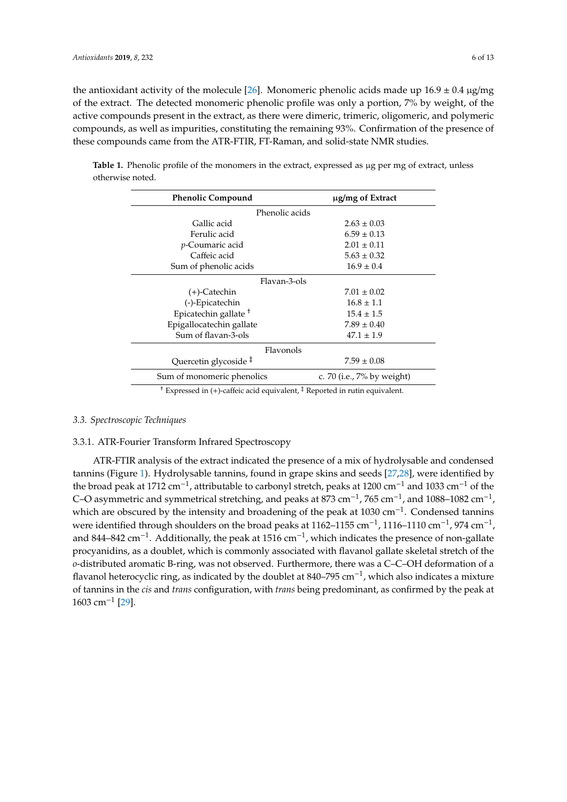the antioxidant activity of the molecule [\[26\]](#page-11-3). Monomeric phenolic acids made up  $16.9 \pm 0.4$   $\mu$ g/mg of the extract. The detected monomeric phenolic profile was only a portion, 7% by weight, of the active compounds present in the extract, as there were dimeric, trimeric, oligomeric, and polymeric compounds, as well as impurities, constituting the remaining 93%. Confirmation of the presence of these compounds came from the ATR-FTIR, FT-Raman, and solid-state NMR studies.

<span id="page-5-0"></span>

|                  | Table 1. Phenolic profile of the monomers in the extract, expressed as µg per mg of extract, unless |  |  |  |  |
|------------------|-----------------------------------------------------------------------------------------------------|--|--|--|--|
| otherwise noted. |                                                                                                     |  |  |  |  |

| <b>Phenolic Compound</b>         | ug/mg of Extract           |  |  |  |  |  |  |  |
|----------------------------------|----------------------------|--|--|--|--|--|--|--|
| Phenolic acids                   |                            |  |  |  |  |  |  |  |
| Gallic acid                      | $2.63 \pm 0.03$            |  |  |  |  |  |  |  |
| Ferulic acid                     | $6.59 \pm 0.13$            |  |  |  |  |  |  |  |
| <i>p</i> -Coumaric acid          | $2.01 \pm 0.11$            |  |  |  |  |  |  |  |
| Caffeic acid                     | $5.63 \pm 0.32$            |  |  |  |  |  |  |  |
| Sum of phenolic acids            | $16.9 \pm 0.4$             |  |  |  |  |  |  |  |
| Flavan-3-ols                     |                            |  |  |  |  |  |  |  |
| $(+)$ -Catechin                  | $7.01 \pm 0.02$            |  |  |  |  |  |  |  |
| (-)-Epicatechin                  | $16.8 \pm 1.1$             |  |  |  |  |  |  |  |
| Epicatechin gallate <sup>+</sup> | $15.4 \pm 1.5$             |  |  |  |  |  |  |  |
| Epigallocatechin gallate         | $7.89 \pm 0.40$            |  |  |  |  |  |  |  |
| Sum of flavan-3-ols              | $47.1 \pm 1.9$             |  |  |  |  |  |  |  |
| Flavonols                        |                            |  |  |  |  |  |  |  |
| Quercetin glycoside <sup>‡</sup> | $7.59 \pm 0.08$            |  |  |  |  |  |  |  |
| Sum of monomeric phenolics       | c. 70 (i.e., 7% by weight) |  |  |  |  |  |  |  |

† Expressed in (+)-caffeic acid equivalent, ‡ Reported in rutin equivalent.

#### *3.3. Spectroscopic Techniques*

# 3.3.1. ATR-Fourier Transform Infrared Spectroscopy

ATR-FTIR analysis of the extract indicated the presence of a mix of hydrolysable and condensed tannins (Figure [1\)](#page-6-0). Hydrolysable tannins, found in grape skins and seeds [\[27,](#page-11-4)[28\]](#page-11-5), were identified by the broad peak at 1712 cm−<sup>1</sup> , attributable to carbonyl stretch, peaks at 1200 cm−<sup>1</sup> and 1033 cm−<sup>1</sup> of the C–O asymmetric and symmetrical stretching, and peaks at  $873 \text{ cm}^{-1}$ ,  $765 \text{ cm}^{-1}$ , and  $1088-1082 \text{ cm}^{-1}$ , which are obscured by the intensity and broadening of the peak at 1030 cm<sup>-1</sup>. Condensed tannins were identified through shoulders on the broad peaks at 1162–1155 cm<sup>-1</sup>, 1116–1110 cm<sup>-1</sup>, 974 cm<sup>-1</sup>, and 844–842 cm<sup>-1</sup>. Additionally, the peak at 1516 cm<sup>-1</sup>, which indicates the presence of non-gallate procyanidins, as a doublet, which is commonly associated with flavanol gallate skeletal stretch of the *o*-distributed aromatic B-ring, was not observed. Furthermore, there was a C–C–OH deformation of a flavanol heterocyclic ring, as indicated by the doublet at 840–795 cm−<sup>1</sup> , which also indicates a mixture of tannins in the *cis* and *trans* configuration, with *trans* being predominant, as confirmed by the peak at 1603 cm−<sup>1</sup> [\[29\]](#page-11-6).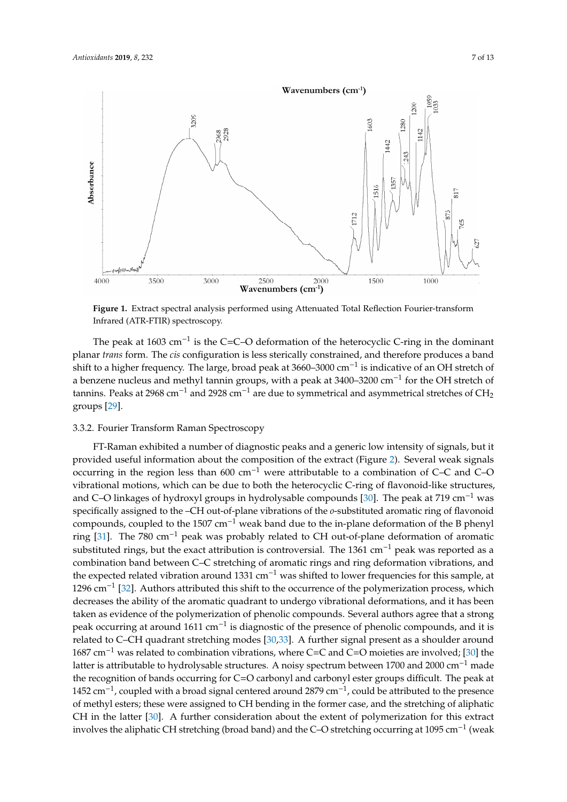<span id="page-6-0"></span>

**Figure 1.** Extract spectral analysis performed using Attenuated Total Reflection Fourier-transform Infrared (ATR-FTIR) spectroscopy. Infrared (ATR-FTIR) spectroscopy. **Figure 1.** Extract spectral analysis performed using Attenuated Total Reflection Fourier-transform

planar *trans* form. The *cis* configuration is less sterically constrained, and therefore produces a band shift to a higher frequency. The large, broad peak at 3660–3000 cm<sup>−1</sup> is indicative of an OH stretch of a benzene nucleus and methyl tannin groups, with a peak at 3400–3200 cm<sup>-1</sup> for the OH stretch of tannins. Peaks at 2968 cm<sup>-1</sup> and 2928 cm<sup>-1</sup> are due to symmetrical and asymmetrical stretches of CH<sub>2</sub>  $\alpha$  groups  $[29]$ . The peak at 1603 cm<sup>-1</sup> is the C=C–O deformation of the heterocyclic C-ring in the dominant groups [\[29\]](#page-11-6).

# and  $\Gamma$  in the peak at 719 cm–1 was 719 cm–1 was 719 cm–1 was 719 cm–1 was 719 cm–1 was 719 cm–1 was 719 cm–1 was 719 cm–1 was 719 cm–1 was 719 cm–1 was 719 cm–1 was 719 cm–1 was 719 cm–1 was 719 cm–1 was 719 cm–1 was 71 3.3.2. Fourier Transform Raman Spectroscopy

FT-Raman exhibited a number of diagnostic peaks and a generic low intensity of signals, but it provided useful information about the composition [of](#page-7-0) the extract (Figure 2). Several weak signals occurring in the region less than 600 cm<sup>-1</sup> were attributable to a combination of C–C and C–O vibrational motions, which can be due to both the heterocyclic C-ring of flavonoid-like structures, and C–O linkages of hydroxyl groups in hydrolysable compounds [30]. The peak at 719 cm<sup>-1</sup> was specifically assigned to the –CH out-of-plane vibrations of the *o*-substituted aromatic ring of flavonoid compounds, coupled to the 1507 cm<sup>-1</sup> weak band due to the in-plane deformation of the B phenyl ring [31]. The 780 cm<sup>-1</sup> peak was probably related to CH out-of-plane deformation of aromatic substituted rings, but the exact attribution is controversial. The 1361 cm<sup>-1</sup> peak was reported as a combination band between C–C stretching of aromatic rings and ring deformation vibrations, and the expected related vibration around 1331 cm<sup>-1</sup> was shifted to lower frequencies for this sample, at 1296 cm<sup>−1</sup> [32]. Authors attributed this shift to the occurrence of the polymerization process, which decreases the ability of the aromatic quadrant to undergo vibrational deformations, and it has been taken as evidence of the polymerization of phenolic compounds. Several authors agree that a strong peak occurring at around 1611 cm<sup>-1</sup> is diagnostic of the presence of phenolic compounds, and it is related to C–CH quadrant stretching modes [30,33]. A further signal present as a shoulder around 1687 cm<sup>-1</sup> was related to combination vibrations, where C=C [and](#page-11-7) C=O moieties are involved; [30] the latter is attributable to hydrolysable structures. A noisy spectrum between 1700 and 2000 cm<sup>-1</sup> made the recognition of bands occurring for C=O carbonyl and carbonyl ester groups difficult. The peak at 1452 cm<sup>-1</sup>, coupled with a broad signal centered around 2879 cm<sup>-1</sup>, could be attributed to the presence of methyl esters; these were assigned to CH bending in the former case, and the stretching of aliphatic CH in the latter [\[30\]](#page-11-7). A further consideration about the extent of polymerization for this extract involves the aliphatic CH stretching (broad band) and the C–O stretching occurring at 1095 cm−<sup>1</sup> (weak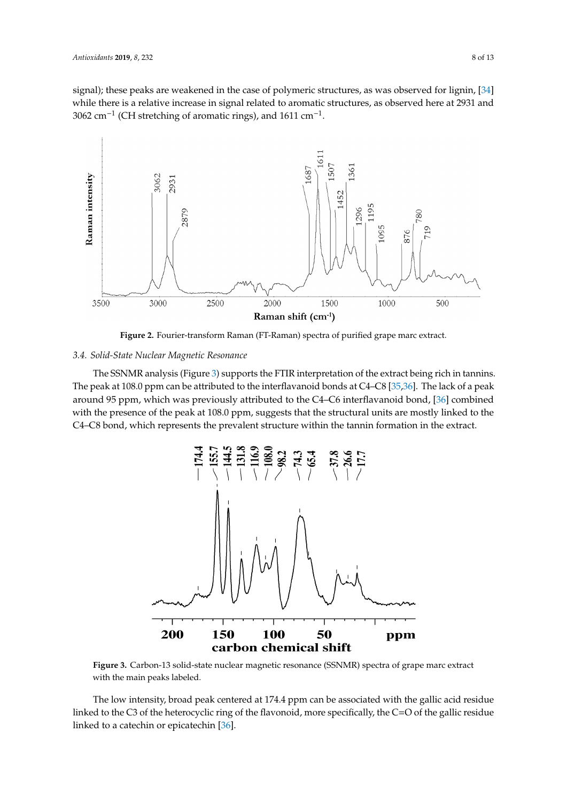signal); these peaks are weakened in the case of polymeric structures, as was observed for lignin, [\[34\]](#page-11-11) while there is a relative increase in signal related to aromatic structures, as observed here at 2931 and 3062 cm<sup>-1</sup> (CH stretching of aromatic rings), and 1611 cm<sup>-1</sup>.

<span id="page-7-0"></span>

**Figure 2.** Fourier-transform Raman (FT-Raman) spectra of purified grape marc extract. **Figure 2.** Fourier-transform Raman (FT-Raman) spectra of purified grape marc extract.

# *3.4. Solid-State Nuclear Magnetic Resonance 3.4. Solid-State Nuclear Magnetic Resonance*

The SSNMR analysis (Figure [3\)](#page-7-1) supports the FTIR interpretation of the extract being rich in tannins. The peak at 108.0 ppm can be attributed to [the](#page-11-12) interflavanoid bonds at C4-C8 [35,36]. The lack of a peak around 95 ppm, which was previously attributed to the C4-C6 interflavanoid bond, [36] combined with the presence of the peak at 108.0 ppm, suggests that the structural units are mostly linked to the C4-C8 bond, which represents the prevalent structure within the tannin formation in the extract.

<span id="page-7-1"></span>

**Figure 3.** Carbon-13 solid-state nuclear magnetic resonance (SSNMR) spectra of grape marc extract **Figure 3.** Carbon-13 solid-state nuclear magnetic resonance (SSNMR) spectra of grape marc extract with the main peaks labeled. with the main peaks labeled.

The low intensity, broad peak centered at 174.4 ppm can be associated with the gallic acid residue  $P_{\rm tot}$  and peak centered at 174.4 ppm can be associated with the galaxies at 174.4 ppm can be associated with the galaxies and  $P_{\rm tot}$ The low intensity, broad peak centered at 174.4 ppm can be associated with the gallic acident at  $\frac{1}{2}$ linked to the C3 of the heterocyclic ring of the flavonoid, more specifically, the C=O of the gallic residue  $\frac{1}{2}$ linked to a catechin or epicatechin [\[36\]](#page-11-13).  $\blacksquare$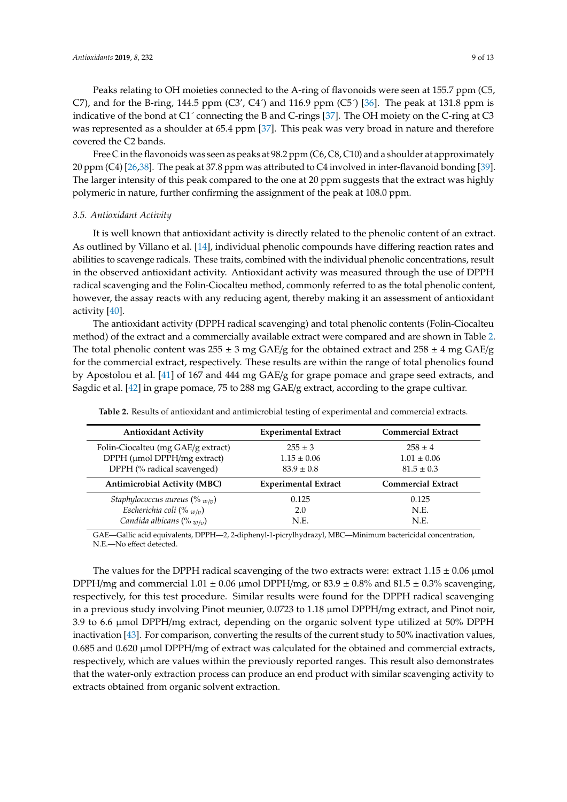Free C in the flavonoids was seen as peaks at 98.2 ppm (C6, C8, C10) and a shoulder at approximately 20 ppm (C4) [\[26](#page-11-3)[,38\]](#page-11-15). The peak at 37.8 ppm was attributed to C4 involved in inter-flavanoid bonding [\[39\]](#page-11-16). The larger intensity of this peak compared to the one at 20 ppm suggests that the extract was highly polymeric in nature, further confirming the assignment of the peak at 108.0 ppm.

#### *3.5. Antioxidant Activity*

It is well known that antioxidant activity is directly related to the phenolic content of an extract. As outlined by Villano et al. [\[14\]](#page-10-11), individual phenolic compounds have differing reaction rates and abilities to scavenge radicals. These traits, combined with the individual phenolic concentrations, result in the observed antioxidant activity. Antioxidant activity was measured through the use of DPPH radical scavenging and the Folin-Ciocalteu method, commonly referred to as the total phenolic content, however, the assay reacts with any reducing agent, thereby making it an assessment of antioxidant activity [\[40\]](#page-11-17).

The antioxidant activity (DPPH radical scavenging) and total phenolic contents (Folin-Ciocalteu method) of the extract and a commercially available extract were compared and are shown in Table [2.](#page-8-0) The total phenolic content was  $255 \pm 3$  mg GAE/g for the obtained extract and  $258 \pm 4$  mg GAE/g for the commercial extract, respectively. These results are within the range of total phenolics found by Apostolou et al. [\[41\]](#page-11-18) of 167 and 444 mg GAE/g for grape pomace and grape seed extracts, and Sagdic et al. [\[42\]](#page-11-19) in grape pomace, 75 to 288 mg GAE/g extract, according to the grape cultivar.

<span id="page-8-0"></span>

| <b>Antioxidant Activity</b>         | <b>Experimental Extract</b> | <b>Commercial Extract</b> |  |  |
|-------------------------------------|-----------------------------|---------------------------|--|--|
| Folin-Ciocalteu (mg GAE/g extract)  | $255 \pm 3$                 | $258 \pm 4$               |  |  |
| DPPH (µmol DPPH/mg extract)         | $1.15 \pm 0.06$             | $1.01 \pm 0.06$           |  |  |
| DPPH (% radical scavenged)          | $83.9 \pm 0.8$              | $81.5 \pm 0.3$            |  |  |
| <b>Antimicrobial Activity (MBC)</b> | <b>Experimental Extract</b> | <b>Commercial Extract</b> |  |  |
| Staphylococcus aureus (% $w/v$ )    | 0.125                       | 0.125                     |  |  |
| Escherichia coli (% $w/v$ )         | 2.0                         | N.E.                      |  |  |
|                                     |                             |                           |  |  |

**Table 2.** Results of antioxidant and antimicrobial testing of experimental and commercial extracts.

GAE—Gallic acid equivalents, DPPH—2, 2-diphenyl-1-picrylhydrazyl, MBC—Minimum bactericidal concentration, N.E.—No effect detected.

The values for the DPPH radical scavenging of the two extracts were: extract  $1.15 \pm 0.06$  µmol DPPH/mg and commercial  $1.01 \pm 0.06$  µmol DPPH/mg, or  $83.9 \pm 0.8\%$  and  $81.5 \pm 0.3\%$  scavenging, respectively, for this test procedure. Similar results were found for the DPPH radical scavenging in a previous study involving Pinot meunier, 0.0723 to 1.18 µmol DPPH/mg extract, and Pinot noir, 3.9 to 6.6 µmol DPPH/mg extract, depending on the organic solvent type utilized at 50% DPPH inactivation [\[43\]](#page-11-20). For comparison, converting the results of the current study to 50% inactivation values, 0.685 and 0.620 µmol DPPH/mg of extract was calculated for the obtained and commercial extracts, respectively, which are values within the previously reported ranges. This result also demonstrates that the water-only extraction process can produce an end product with similar scavenging activity to extracts obtained from organic solvent extraction.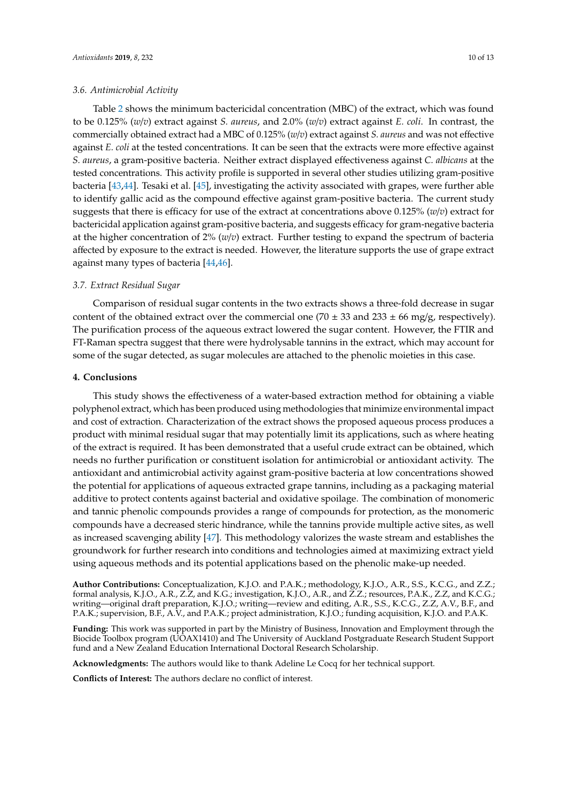#### *3.6. Antimicrobial Activity*

Table [2](#page-8-0) shows the minimum bactericidal concentration (MBC) of the extract, which was found to be 0.125% (*w*/*v*) extract against *S. aureus*, and 2.0% (*w*/*v*) extract against *E. coli*. In contrast, the commercially obtained extract had a MBC of 0.125% (*w*/*v*) extract against *S. aureus* and was not effective against *E. coli* at the tested concentrations. It can be seen that the extracts were more effective against *S. aureus*, a gram-positive bacteria. Neither extract displayed effectiveness against *C. albicans* at the tested concentrations. This activity profile is supported in several other studies utilizing gram-positive bacteria [\[43](#page-11-20)[,44\]](#page-11-21). Tesaki et al. [\[45\]](#page-12-0), investigating the activity associated with grapes, were further able to identify gallic acid as the compound effective against gram-positive bacteria. The current study suggests that there is efficacy for use of the extract at concentrations above 0.125% (*w*/*v*) extract for bactericidal application against gram-positive bacteria, and suggests efficacy for gram-negative bacteria at the higher concentration of 2% (*w*/*v*) extract. Further testing to expand the spectrum of bacteria affected by exposure to the extract is needed. However, the literature supports the use of grape extract against many types of bacteria [\[44](#page-11-21)[,46\]](#page-12-1).

#### *3.7. Extract Residual Sugar*

Comparison of residual sugar contents in the two extracts shows a three-fold decrease in sugar content of the obtained extract over the commercial one (70  $\pm$  33 and 233  $\pm$  66 mg/g, respectively). The purification process of the aqueous extract lowered the sugar content. However, the FTIR and FT-Raman spectra suggest that there were hydrolysable tannins in the extract, which may account for some of the sugar detected, as sugar molecules are attached to the phenolic moieties in this case.

# **4. Conclusions**

This study shows the effectiveness of a water-based extraction method for obtaining a viable polyphenol extract, which has been produced using methodologies that minimize environmental impact and cost of extraction. Characterization of the extract shows the proposed aqueous process produces a product with minimal residual sugar that may potentially limit its applications, such as where heating of the extract is required. It has been demonstrated that a useful crude extract can be obtained, which needs no further purification or constituent isolation for antimicrobial or antioxidant activity. The antioxidant and antimicrobial activity against gram-positive bacteria at low concentrations showed the potential for applications of aqueous extracted grape tannins, including as a packaging material additive to protect contents against bacterial and oxidative spoilage. The combination of monomeric and tannic phenolic compounds provides a range of compounds for protection, as the monomeric compounds have a decreased steric hindrance, while the tannins provide multiple active sites, as well as increased scavenging ability [\[47\]](#page-12-2). This methodology valorizes the waste stream and establishes the groundwork for further research into conditions and technologies aimed at maximizing extract yield using aqueous methods and its potential applications based on the phenolic make-up needed.

**Author Contributions:** Conceptualization, K.J.O. and P.A.K.; methodology, K.J.O., A.R., S.S., K.C.G., and Z.Z.; formal analysis, K.J.O., A.R., Z.Z, and K.G.; investigation, K.J.O., A.R., and Z.Z.; resources, P.A.K., Z.Z, and K.C.G.; writing—original draft preparation, K.J.O.; writing—review and editing, A.R., S.S., K.C.G., Z.Z, A.V., B.F., and P.A.K.; supervision, B.F., A.V., and P.A.K.; project administration, K.J.O.; funding acquisition, K.J.O. and P.A.K.

**Funding:** This work was supported in part by the Ministry of Business, Innovation and Employment through the Biocide Toolbox program ( $\hat{UOAX1410}$ ) and The University of Auckland Postgraduate Research Student Support fund and a New Zealand Education International Doctoral Research Scholarship.

**Acknowledgments:** The authors would like to thank Adeline Le Cocq for her technical support.

**Conflicts of Interest:** The authors declare no conflict of interest.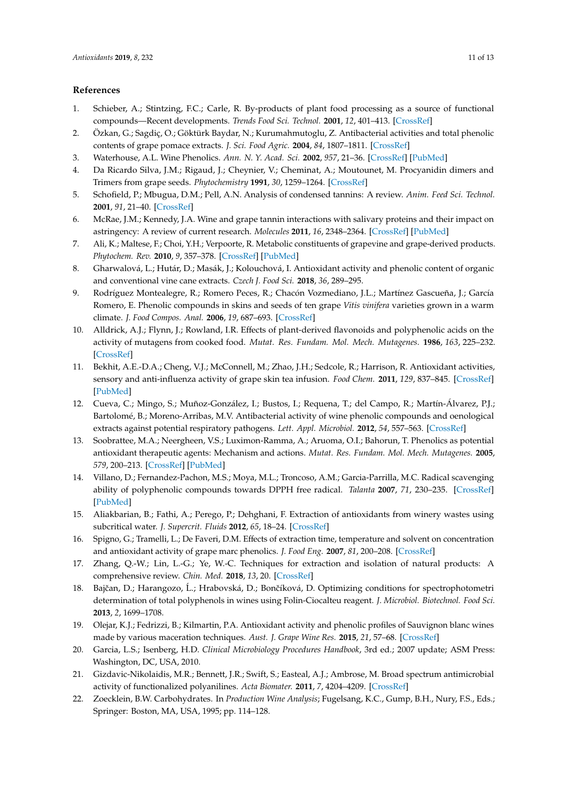#### **References**

- <span id="page-10-0"></span>1. Schieber, A.; Stintzing, F.C.; Carle, R. By-products of plant food processing as a source of functional compounds—Recent developments. *Trends Food Sci. Technol.* **2001**, *12*, 401–413. [\[CrossRef\]](http://dx.doi.org/10.1016/S0924-2244(02)00012-2)
- <span id="page-10-1"></span>2. Özkan, G.; Sagdiç, O.; Göktürk Baydar, N.; Kurumahmutoglu, Z. Antibacterial activities and total phenolic contents of grape pomace extracts. *J. Sci. Food Agric.* **2004**, *84*, 1807–1811. [\[CrossRef\]](http://dx.doi.org/10.1002/jsfa.1901)
- <span id="page-10-2"></span>3. Waterhouse, A.L. Wine Phenolics. *Ann. N. Y. Acad. Sci.* **2002**, *957*, 21–36. [\[CrossRef\]](http://dx.doi.org/10.1111/j.1749-6632.2002.tb02903.x) [\[PubMed\]](http://www.ncbi.nlm.nih.gov/pubmed/12074959)
- <span id="page-10-3"></span>4. Da Ricardo Silva, J.M.; Rigaud, J.; Cheynier, V.; Cheminat, A.; Moutounet, M. Procyanidin dimers and Trimers from grape seeds. *Phytochemistry* **1991**, *30*, 1259–1264. [\[CrossRef\]](http://dx.doi.org/10.1016/S0031-9422(00)95213-0)
- <span id="page-10-4"></span>5. Schofield, P.; Mbugua, D.M.; Pell, A.N. Analysis of condensed tannins: A review. *Anim. Feed Sci. Technol.* **2001**, *91*, 21–40. [\[CrossRef\]](http://dx.doi.org/10.1016/S0377-8401(01)00228-0)
- <span id="page-10-5"></span>6. McRae, J.M.; Kennedy, J.A. Wine and grape tannin interactions with salivary proteins and their impact on astringency: A review of current research. *Molecules* **2011**, *16*, 2348–2364. [\[CrossRef\]](http://dx.doi.org/10.3390/molecules16032348) [\[PubMed\]](http://www.ncbi.nlm.nih.gov/pubmed/21399572)
- <span id="page-10-6"></span>7. Ali, K.; Maltese, F.; Choi, Y.H.; Verpoorte, R. Metabolic constituents of grapevine and grape-derived products. *Phytochem. Rev.* **2010**, *9*, 357–378. [\[CrossRef\]](http://dx.doi.org/10.1007/s11101-009-9158-0) [\[PubMed\]](http://www.ncbi.nlm.nih.gov/pubmed/20835385)
- <span id="page-10-7"></span>8. Gharwalová, L.; Hutár, D.; Masák, J.; Kolouchová, I. Antioxidant activity and phenolic content of organic and conventional vine cane extracts. *Czech J. Food Sci.* **2018**, *36*, 289–295.
- <span id="page-10-8"></span>9. Rodríguez Montealegre, R.; Romero Peces, R.; Chacón Vozmediano, J.L.; Martínez Gascueña, J.; García Romero, E. Phenolic compounds in skins and seeds of ten grape *Vitis vinifera* varieties grown in a warm climate. *J. Food Compos. Anal.* **2006**, *19*, 687–693. [\[CrossRef\]](http://dx.doi.org/10.1016/j.jfca.2005.05.003)
- <span id="page-10-9"></span>10. Alldrick, A.J.; Flynn, J.; Rowland, I.R. Effects of plant-derived flavonoids and polyphenolic acids on the activity of mutagens from cooked food. *Mutat. Res. Fundam. Mol. Mech. Mutagenes.* **1986**, *163*, 225–232. [\[CrossRef\]](http://dx.doi.org/10.1016/0027-5107(86)90020-5)
- 11. Bekhit, A.E.-D.A.; Cheng, V.J.; McConnell, M.; Zhao, J.H.; Sedcole, R.; Harrison, R. Antioxidant activities, sensory and anti-influenza activity of grape skin tea infusion. *Food Chem.* **2011**, *129*, 837–845. [\[CrossRef\]](http://dx.doi.org/10.1016/j.foodchem.2011.05.032) [\[PubMed\]](http://www.ncbi.nlm.nih.gov/pubmed/25212307)
- 12. Cueva, C.; Mingo, S.; Muñoz-González, I.; Bustos, I.; Requena, T.; del Campo, R.; Martín-Álvarez, P.J.; Bartolomé, B.; Moreno-Arribas, M.V. Antibacterial activity of wine phenolic compounds and oenological extracts against potential respiratory pathogens. *Lett. Appl. Microbiol.* **2012**, *54*, 557–563. [\[CrossRef\]](http://dx.doi.org/10.1111/j.1472-765X.2012.03248.x)
- <span id="page-10-10"></span>13. Soobrattee, M.A.; Neergheen, V.S.; Luximon-Ramma, A.; Aruoma, O.I.; Bahorun, T. Phenolics as potential antioxidant therapeutic agents: Mechanism and actions. *Mutat. Res. Fundam. Mol. Mech. Mutagenes.* **2005**, *579*, 200–213. [\[CrossRef\]](http://dx.doi.org/10.1016/j.mrfmmm.2005.03.023) [\[PubMed\]](http://www.ncbi.nlm.nih.gov/pubmed/16126236)
- <span id="page-10-11"></span>14. Villano, D.; Fernandez-Pachon, M.S.; Moya, M.L.; Troncoso, A.M.; Garcia-Parrilla, M.C. Radical scavenging ability of polyphenolic compounds towards DPPH free radical. *Talanta* **2007**, *71*, 230–235. [\[CrossRef\]](http://dx.doi.org/10.1016/j.talanta.2006.03.050) [\[PubMed\]](http://www.ncbi.nlm.nih.gov/pubmed/19071293)
- <span id="page-10-12"></span>15. Aliakbarian, B.; Fathi, A.; Perego, P.; Dehghani, F. Extraction of antioxidants from winery wastes using subcritical water. *J. Supercrit. Fluids* **2012**, *65*, 18–24. [\[CrossRef\]](http://dx.doi.org/10.1016/j.supflu.2012.02.022)
- <span id="page-10-13"></span>16. Spigno, G.; Tramelli, L.; De Faveri, D.M. Effects of extraction time, temperature and solvent on concentration and antioxidant activity of grape marc phenolics. *J. Food Eng.* **2007**, *81*, 200–208. [\[CrossRef\]](http://dx.doi.org/10.1016/j.jfoodeng.2006.10.021)
- <span id="page-10-14"></span>17. Zhang, Q.-W.; Lin, L.-G.; Ye, W.-C. Techniques for extraction and isolation of natural products: A comprehensive review. *Chin. Med.* **2018**, *13*, 20. [\[CrossRef\]](http://dx.doi.org/10.1186/s13020-018-0177-x)
- <span id="page-10-15"></span>18. Bajčan, D.; Harangozo, Ĺ.; Hrabovská, D.; Bončíková, D. Optimizing conditions for spectrophotometri determination of total polyphenols in wines using Folin-Ciocalteu reagent. *J. Microbiol. Biotechnol. Food Sci.* **2013**, *2*, 1699–1708.
- <span id="page-10-16"></span>19. Olejar, K.J.; Fedrizzi, B.; Kilmartin, P.A. Antioxidant activity and phenolic profiles of Sauvignon blanc wines made by various maceration techniques. *Aust. J. Grape Wine Res.* **2015**, *21*, 57–68. [\[CrossRef\]](http://dx.doi.org/10.1111/ajgw.12119)
- <span id="page-10-17"></span>20. Garcia, L.S.; Isenberg, H.D. *Clinical Microbiology Procedures Handbook*, 3rd ed.; 2007 update; ASM Press: Washington, DC, USA, 2010.
- <span id="page-10-18"></span>21. Gizdavic-Nikolaidis, M.R.; Bennett, J.R.; Swift, S.; Easteal, A.J.; Ambrose, M. Broad spectrum antimicrobial activity of functionalized polyanilines. *Acta Biomater.* **2011**, *7*, 4204–4209. [\[CrossRef\]](http://dx.doi.org/10.1016/j.actbio.2011.07.018)
- <span id="page-10-19"></span>22. Zoecklein, B.W. Carbohydrates. In *Production Wine Analysis*; Fugelsang, K.C., Gump, B.H., Nury, F.S., Eds.; Springer: Boston, MA, USA, 1995; pp. 114–128.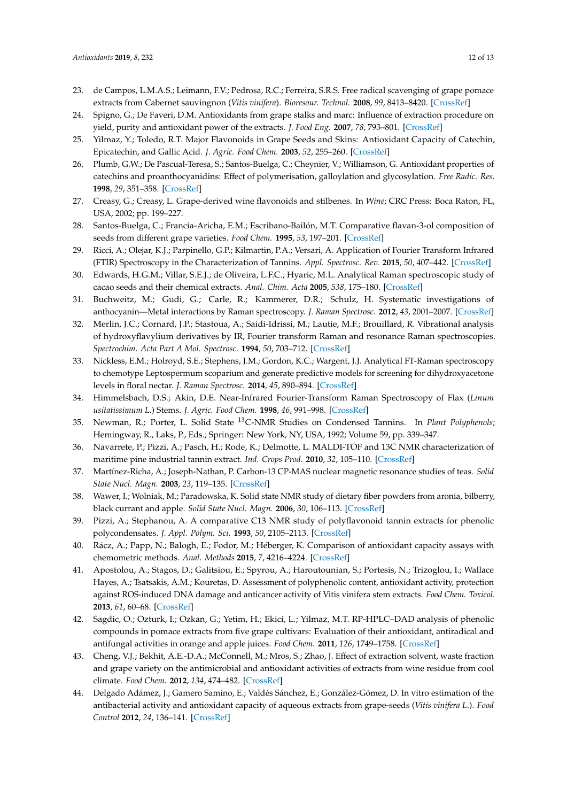- <span id="page-11-0"></span>23. de Campos, L.M.A.S.; Leimann, F.V.; Pedrosa, R.C.; Ferreira, S.R.S. Free radical scavenging of grape pomace extracts from Cabernet sauvingnon (*Vitis vinifera*). *Bioresour. Technol.* **2008**, *99*, 8413–8420. [\[CrossRef\]](http://dx.doi.org/10.1016/j.biortech.2008.02.058)
- <span id="page-11-1"></span>24. Spigno, G.; De Faveri, D.M. Antioxidants from grape stalks and marc: Influence of extraction procedure on yield, purity and antioxidant power of the extracts. *J. Food Eng.* **2007**, *78*, 793–801. [\[CrossRef\]](http://dx.doi.org/10.1016/j.jfoodeng.2005.11.020)
- <span id="page-11-2"></span>25. Yilmaz, Y.; Toledo, R.T. Major Flavonoids in Grape Seeds and Skins: Antioxidant Capacity of Catechin, Epicatechin, and Gallic Acid. *J. Agric. Food Chem.* **2003**, *52*, 255–260. [\[CrossRef\]](http://dx.doi.org/10.1021/jf030117h)
- <span id="page-11-3"></span>26. Plumb, G.W.; De Pascual-Teresa, S.; Santos-Buelga, C.; Cheynier, V.; Williamson, G. Antioxidant properties of catechins and proanthocyanidins: Effect of polymerisation, galloylation and glycosylation. *Free Radic. Res.* **1998**, *29*, 351–358. [\[CrossRef\]](http://dx.doi.org/10.1080/10715769800300391)
- <span id="page-11-4"></span>27. Creasy, G.; Creasy, L. Grape-derived wine flavonoids and stilbenes. In *Wine*; CRC Press: Boca Raton, FL, USA, 2002; pp. 199–227.
- <span id="page-11-5"></span>28. Santos-Buelga, C.; Francia-Aricha, E.M.; Escribano-Bailón, M.T. Comparative flavan-3-ol composition of seeds from different grape varieties. *Food Chem.* **1995**, *53*, 197–201. [\[CrossRef\]](http://dx.doi.org/10.1016/0308-8146(95)90788-9)
- <span id="page-11-6"></span>29. Ricci, A.; Olejar, K.J.; Parpinello, G.P.; Kilmartin, P.A.; Versari, A. Application of Fourier Transform Infrared (FTIR) Spectroscopy in the Characterization of Tannins. *Appl. Spectrosc. Rev.* **2015**, *50*, 407–442. [\[CrossRef\]](http://dx.doi.org/10.1080/05704928.2014.1000461)
- <span id="page-11-7"></span>30. Edwards, H.G.M.; Villar, S.E.J.; de Oliveira, L.F.C.; Hyaric, M.L. Analytical Raman spectroscopic study of cacao seeds and their chemical extracts. *Anal. Chim. Acta* **2005**, *538*, 175–180. [\[CrossRef\]](http://dx.doi.org/10.1016/j.aca.2005.02.039)
- <span id="page-11-8"></span>31. Buchweitz, M.; Gudi, G.; Carle, R.; Kammerer, D.R.; Schulz, H. Systematic investigations of anthocyanin—Metal interactions by Raman spectroscopy. *J. Raman Spectrosc.* **2012**, *43*, 2001–2007. [\[CrossRef\]](http://dx.doi.org/10.1002/jrs.4123)
- <span id="page-11-9"></span>32. Merlin, J.C.; Cornard, J.P.; Stastoua, A.; Saidi-Idrissi, M.; Lautie, M.F.; Brouillard, R. Vibrational analysis of hydroxyflavylium derivatives by IR, Fourier transform Raman and resonance Raman spectroscopies. *Spectrochim. Acta Part A Mol. Spectrosc.* **1994**, *50*, 703–712. [\[CrossRef\]](http://dx.doi.org/10.1016/0584-8539(94)80007-3)
- <span id="page-11-10"></span>33. Nickless, E.M.; Holroyd, S.E.; Stephens, J.M.; Gordon, K.C.; Wargent, J.J. Analytical FT-Raman spectroscopy to chemotype Leptospermum scoparium and generate predictive models for screening for dihydroxyacetone levels in floral nectar. *J. Raman Spectrosc.* **2014**, *45*, 890–894. [\[CrossRef\]](http://dx.doi.org/10.1002/jrs.4576)
- <span id="page-11-11"></span>34. Himmelsbach, D.S.; Akin, D.E. Near-Infrared Fourier-Transform Raman Spectroscopy of Flax (*Linum usitatissimum L*.) Stems. *J. Agric. Food Chem.* **1998**, *46*, 991–998. [\[CrossRef\]](http://dx.doi.org/10.1021/jf970656k)
- <span id="page-11-12"></span>35. Newman, R.; Porter, L. Solid State <sup>13</sup>C-NMR Studies on Condensed Tannins. In *Plant Polyphenols*; Hemingway, R., Laks, P., Eds.; Springer: New York, NY, USA, 1992; Volume 59, pp. 339–347.
- <span id="page-11-13"></span>36. Navarrete, P.; Pizzi, A.; Pasch, H.; Rode, K.; Delmotte, L. MALDI-TOF and 13C NMR characterization of maritime pine industrial tannin extract. *Ind. Crops Prod.* **2010**, *32*, 105–110. [\[CrossRef\]](http://dx.doi.org/10.1016/j.indcrop.2010.03.010)
- <span id="page-11-14"></span>37. Martínez-Richa, A.; Joseph-Nathan, P. Carbon-13 CP-MAS nuclear magnetic resonance studies of teas. *Solid State Nucl. Magn.* **2003**, *23*, 119–135. [\[CrossRef\]](http://dx.doi.org/10.1016/S0926-2040(02)00017-6)
- <span id="page-11-15"></span>38. Wawer, I.; Wolniak, M.; Paradowska, K. Solid state NMR study of dietary fiber powders from aronia, bilberry, black currant and apple. *Solid State Nucl. Magn.* **2006**, *30*, 106–113. [\[CrossRef\]](http://dx.doi.org/10.1016/j.ssnmr.2006.05.001)
- <span id="page-11-16"></span>39. Pizzi, A.; Stephanou, A. A comparative C13 NMR study of polyflavonoid tannin extracts for phenolic polycondensates. *J. Appl. Polym. Sci.* **1993**, *50*, 2105–2113. [\[CrossRef\]](http://dx.doi.org/10.1002/app.1993.070501209)
- <span id="page-11-17"></span>40. Rácz, A.; Papp, N.; Balogh, E.; Fodor, M.; Héberger, K. Comparison of antioxidant capacity assays with chemometric methods. *Anal. Methods* **2015**, *7*, 4216–4224. [\[CrossRef\]](http://dx.doi.org/10.1039/C5AY00330J)
- <span id="page-11-18"></span>41. Apostolou, A.; Stagos, D.; Galitsiou, E.; Spyrou, A.; Haroutounian, S.; Portesis, N.; Trizoglou, I.; Wallace Hayes, A.; Tsatsakis, A.M.; Kouretas, D. Assessment of polyphenolic content, antioxidant activity, protection against ROS-induced DNA damage and anticancer activity of Vitis vinifera stem extracts. *Food Chem. Toxicol.* **2013**, *61*, 60–68. [\[CrossRef\]](http://dx.doi.org/10.1016/j.fct.2013.01.029)
- <span id="page-11-19"></span>42. Sagdic, O.; Ozturk, I.; Ozkan, G.; Yetim, H.; Ekici, L.; Yilmaz, M.T. RP-HPLC–DAD analysis of phenolic compounds in pomace extracts from five grape cultivars: Evaluation of their antioxidant, antiradical and antifungal activities in orange and apple juices. *Food Chem.* **2011**, *126*, 1749–1758. [\[CrossRef\]](http://dx.doi.org/10.1016/j.foodchem.2010.12.075)
- <span id="page-11-20"></span>43. Cheng, V.J.; Bekhit, A.E.-D.A.; McConnell, M.; Mros, S.; Zhao, J. Effect of extraction solvent, waste fraction and grape variety on the antimicrobial and antioxidant activities of extracts from wine residue from cool climate. *Food Chem.* **2012**, *134*, 474–482. [\[CrossRef\]](http://dx.doi.org/10.1016/j.foodchem.2012.02.103)
- <span id="page-11-21"></span>44. Delgado Adámez, J.; Gamero Samino, E.; Valdés Sánchez, E.; González-Gómez, D. In vitro estimation of the antibacterial activity and antioxidant capacity of aqueous extracts from grape-seeds (*Vitis vinifera L*.). *Food Control* **2012**, *24*, 136–141. [\[CrossRef\]](http://dx.doi.org/10.1016/j.foodcont.2011.09.016)